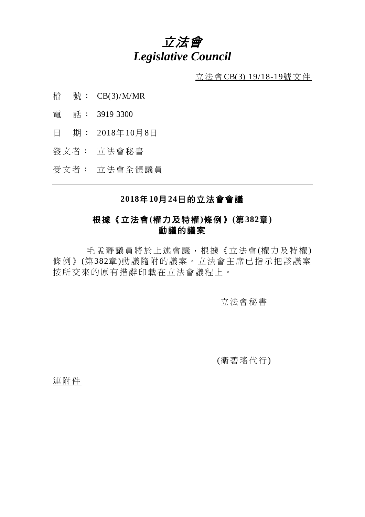# 立法會 *Legislative Council*

 $\underline{\text{if}}$  法會CB(3) 19/18-19號文件

- 檔 號: CB(3)/M/MR
- 電 話: 3919 3300
- 日 期: 2018年10月8日
- 發文者: 立法會秘書

受文者: 立法會全體議員

### **2018**年**10**月**24**日的立法會會議

### 根據《立法會**(**權力及特權**)**條例》**(**第**382**章**)** 動議的議案

毛孟靜議員將於上述會議,根據《立法會(權力及特權) 條例》(第382章)動議隨附的議案。立法會主席已指示把該議案 按所交來的原有措辭印載在立法會議程上。

立法會秘書

(衛碧瑤代行)

連附件